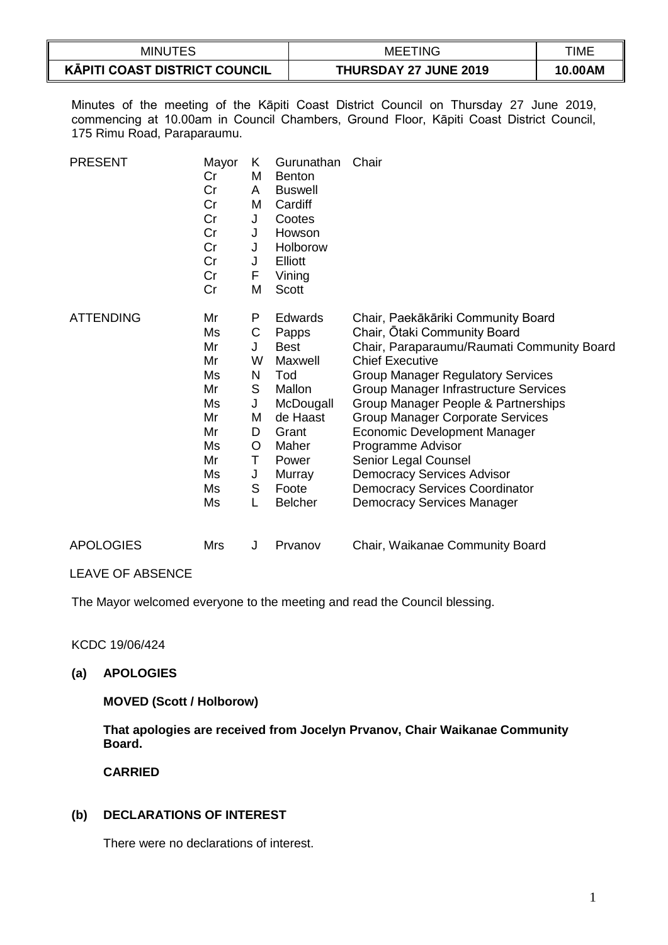| <b>MINUTES</b>                                                   | <b>TING</b><br>MEE.          | TIME    |
|------------------------------------------------------------------|------------------------------|---------|
| $\overline{\phantom{a}}$<br><b>KĀPITI COAST DISTRICT COUNCIL</b> | <b>THURSDAY 27 JUNE 2019</b> | 10.00AM |

Minutes of the meeting of the Kāpiti Coast District Council on Thursday 27 June 2019, commencing at 10.00am in Council Chambers, Ground Floor, Kāpiti Coast District Council, 175 Rimu Road, Paraparaumu.

| <b>PRESENT</b>   | Mayor<br>Cr<br>Cr<br>Cr<br>Cr<br>Cr<br>Cr<br>Cr<br>Cr<br>Cr                      | Κ<br>M<br>A<br>M<br>$\mathsf J$<br>J<br>J<br>J<br>F<br>M           | Gurunathan<br><b>Benton</b><br><b>Buswell</b><br>Cardiff<br>Cootes<br>Howson<br>Holborow<br>Elliott<br>Vining<br><b>Scott</b>                        | Chair                                                                                                                                                                                                                                                                                                                                                                                                                                                                                                             |
|------------------|----------------------------------------------------------------------------------|--------------------------------------------------------------------|------------------------------------------------------------------------------------------------------------------------------------------------------|-------------------------------------------------------------------------------------------------------------------------------------------------------------------------------------------------------------------------------------------------------------------------------------------------------------------------------------------------------------------------------------------------------------------------------------------------------------------------------------------------------------------|
| <b>ATTENDING</b> | Mr<br>Ms<br>Mr<br>Mr<br>Ms<br>Mr<br>Ms<br>Mr<br>Mr<br>Ms<br>Mr<br>Ms<br>Ms<br>Ms | P<br>С<br>J<br>W<br>N<br>S<br>J<br>М<br>D<br>O<br>Т<br>J<br>S<br>L | Edwards<br>Papps<br><b>Best</b><br>Maxwell<br>Tod<br>Mallon<br>McDougall<br>de Haast<br>Grant<br>Maher<br>Power<br>Murray<br>Foote<br><b>Belcher</b> | Chair, Paekākāriki Community Board<br>Chair, Otaki Community Board<br>Chair, Paraparaumu/Raumati Community Board<br><b>Chief Executive</b><br><b>Group Manager Regulatory Services</b><br><b>Group Manager Infrastructure Services</b><br>Group Manager People & Partnerships<br>Group Manager Corporate Services<br>Economic Development Manager<br>Programme Advisor<br>Senior Legal Counsel<br><b>Democracy Services Advisor</b><br><b>Democracy Services Coordinator</b><br><b>Democracy Services Manager</b> |
| <b>APOLOGIES</b> | <b>Mrs</b>                                                                       | J                                                                  | Prvanov                                                                                                                                              | Chair, Waikanae Community Board                                                                                                                                                                                                                                                                                                                                                                                                                                                                                   |

LEAVE OF ABSENCE

The Mayor welcomed everyone to the meeting and read the Council blessing.

KCDC 19/06/424

## **(a) APOLOGIES**

### **MOVED (Scott / Holborow)**

**That apologies are received from Jocelyn Prvanov, Chair Waikanae Community Board.**

**CARRIED**

## **(b) DECLARATIONS OF INTEREST**

There were no declarations of interest.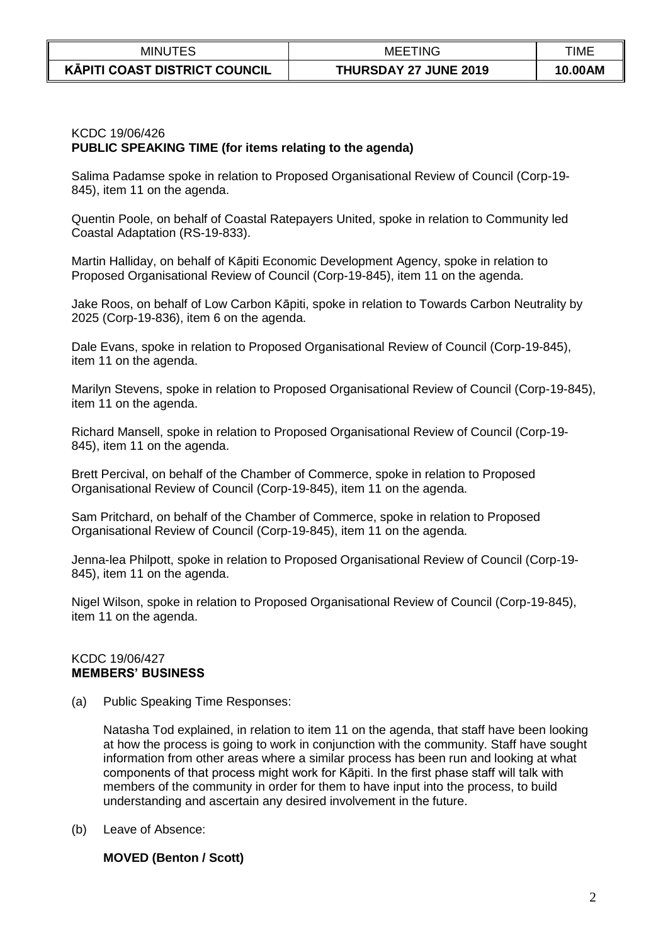| <b>MINUTES</b>                       | 'INC<br>MEE                  | TIME    |
|--------------------------------------|------------------------------|---------|
| <b>KĀPITI COAST DISTRICT COUNCIL</b> | <b>THURSDAY 27 JUNE 2019</b> | 10.00AM |

## KCDC 19/06/426 **PUBLIC SPEAKING TIME (for items relating to the agenda)**

Salima Padamse spoke in relation to Proposed Organisational Review of Council (Corp-19- 845), item 11 on the agenda.

Quentin Poole, on behalf of Coastal Ratepayers United, spoke in relation to Community led Coastal Adaptation (RS-19-833).

Martin Halliday, on behalf of Kāpiti Economic Development Agency, spoke in relation to Proposed Organisational Review of Council (Corp-19-845), item 11 on the agenda.

Jake Roos, on behalf of Low Carbon Kāpiti, spoke in relation to Towards Carbon Neutrality by 2025 (Corp-19-836), item 6 on the agenda.

Dale Evans, spoke in relation to Proposed Organisational Review of Council (Corp-19-845), item 11 on the agenda.

Marilyn Stevens, spoke in relation to Proposed Organisational Review of Council (Corp-19-845), item 11 on the agenda.

Richard Mansell, spoke in relation to Proposed Organisational Review of Council (Corp-19- 845), item 11 on the agenda.

Brett Percival, on behalf of the Chamber of Commerce, spoke in relation to Proposed Organisational Review of Council (Corp-19-845), item 11 on the agenda.

Sam Pritchard, on behalf of the Chamber of Commerce, spoke in relation to Proposed Organisational Review of Council (Corp-19-845), item 11 on the agenda.

Jenna-lea Philpott, spoke in relation to Proposed Organisational Review of Council (Corp-19- 845), item 11 on the agenda.

Nigel Wilson, spoke in relation to Proposed Organisational Review of Council (Corp-19-845), item 11 on the agenda.

#### KCDC 19/06/427 **MEMBERS' BUSINESS**

(a) Public Speaking Time Responses:

Natasha Tod explained, in relation to item 11 on the agenda, that staff have been looking at how the process is going to work in conjunction with the community. Staff have sought information from other areas where a similar process has been run and looking at what components of that process might work for Kāpiti. In the first phase staff will talk with members of the community in order for them to have input into the process, to build understanding and ascertain any desired involvement in the future.

(b) Leave of Absence:

### **MOVED (Benton / Scott)**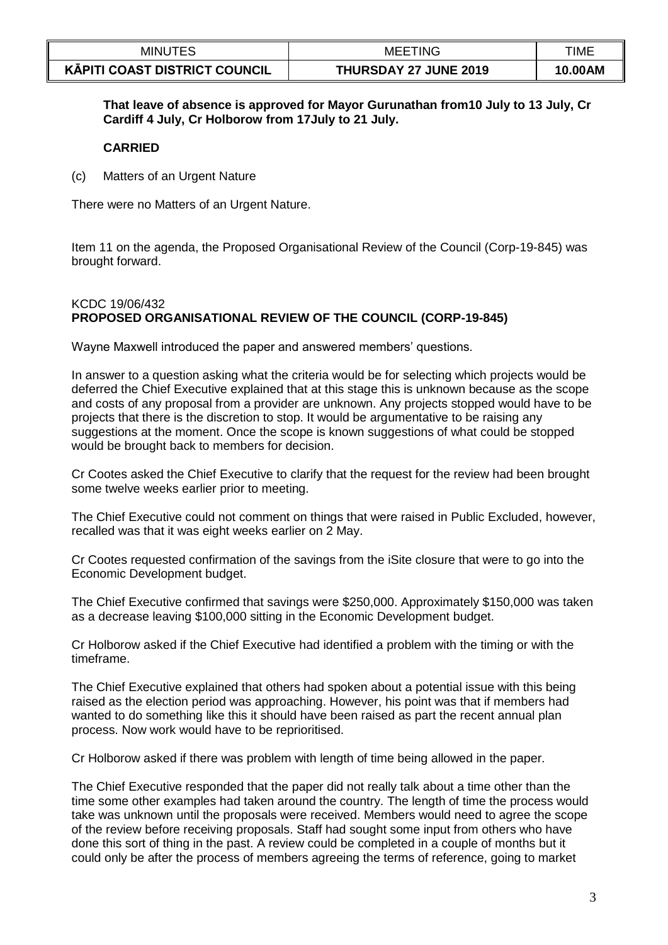| <b>MINUTES</b>                       | TING<br>MEE.          | TIME    |
|--------------------------------------|-----------------------|---------|
| <b>KÄPITI COAST DISTRICT COUNCIL</b> | THURSDAY 27 JUNE 2019 | 10.00AM |

**That leave of absence is approved for Mayor Gurunathan from10 July to 13 July, Cr Cardiff 4 July, Cr Holborow from 17July to 21 July.**

## **CARRIED**

(c) Matters of an Urgent Nature

There were no Matters of an Urgent Nature.

Item 11 on the agenda, the Proposed Organisational Review of the Council (Corp-19-845) was brought forward.

## KCDC 19/06/432 **PROPOSED ORGANISATIONAL REVIEW OF THE COUNCIL (CORP-19-845)**

Wayne Maxwell introduced the paper and answered members' questions.

In answer to a question asking what the criteria would be for selecting which projects would be deferred the Chief Executive explained that at this stage this is unknown because as the scope and costs of any proposal from a provider are unknown. Any projects stopped would have to be projects that there is the discretion to stop. It would be argumentative to be raising any suggestions at the moment. Once the scope is known suggestions of what could be stopped would be brought back to members for decision.

Cr Cootes asked the Chief Executive to clarify that the request for the review had been brought some twelve weeks earlier prior to meeting.

The Chief Executive could not comment on things that were raised in Public Excluded, however, recalled was that it was eight weeks earlier on 2 May.

Cr Cootes requested confirmation of the savings from the iSite closure that were to go into the Economic Development budget.

The Chief Executive confirmed that savings were \$250,000. Approximately \$150,000 was taken as a decrease leaving \$100,000 sitting in the Economic Development budget.

Cr Holborow asked if the Chief Executive had identified a problem with the timing or with the timeframe.

The Chief Executive explained that others had spoken about a potential issue with this being raised as the election period was approaching. However, his point was that if members had wanted to do something like this it should have been raised as part the recent annual plan process. Now work would have to be reprioritised.

Cr Holborow asked if there was problem with length of time being allowed in the paper.

The Chief Executive responded that the paper did not really talk about a time other than the time some other examples had taken around the country. The length of time the process would take was unknown until the proposals were received. Members would need to agree the scope of the review before receiving proposals. Staff had sought some input from others who have done this sort of thing in the past. A review could be completed in a couple of months but it could only be after the process of members agreeing the terms of reference, going to market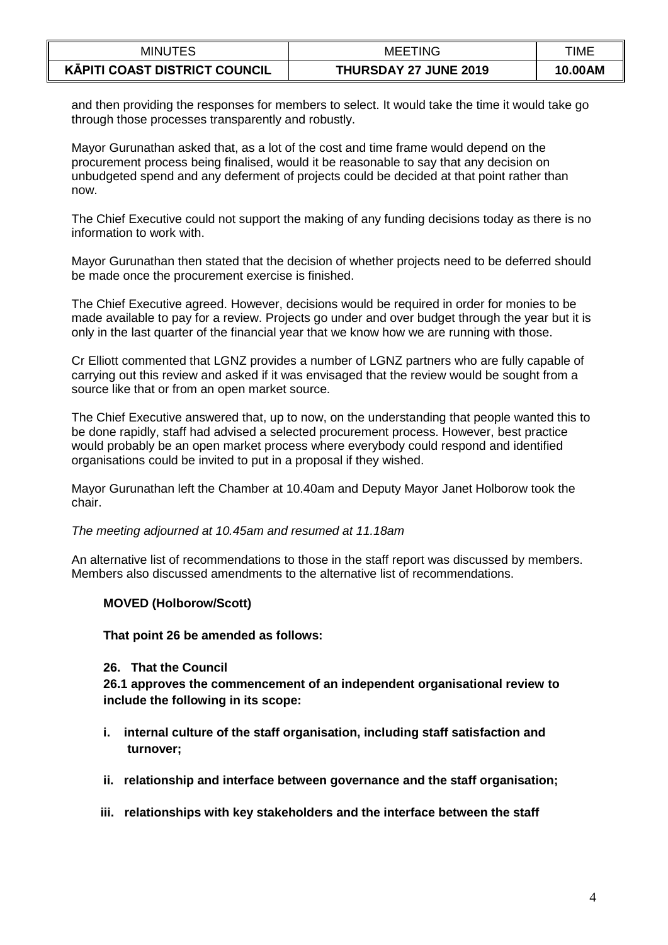| <b>MINUTES</b>                       | <b>MEETING</b>        | TIME    |
|--------------------------------------|-----------------------|---------|
| <b>KĀPITI COAST DISTRICT COUNCIL</b> | THURSDAY 27 JUNE 2019 | 10.00AM |

and then providing the responses for members to select. It would take the time it would take go through those processes transparently and robustly.

Mayor Gurunathan asked that, as a lot of the cost and time frame would depend on the procurement process being finalised, would it be reasonable to say that any decision on unbudgeted spend and any deferment of projects could be decided at that point rather than now.

The Chief Executive could not support the making of any funding decisions today as there is no information to work with.

Mayor Gurunathan then stated that the decision of whether projects need to be deferred should be made once the procurement exercise is finished.

The Chief Executive agreed. However, decisions would be required in order for monies to be made available to pay for a review. Projects go under and over budget through the year but it is only in the last quarter of the financial year that we know how we are running with those.

Cr Elliott commented that LGNZ provides a number of LGNZ partners who are fully capable of carrying out this review and asked if it was envisaged that the review would be sought from a source like that or from an open market source.

The Chief Executive answered that, up to now, on the understanding that people wanted this to be done rapidly, staff had advised a selected procurement process. However, best practice would probably be an open market process where everybody could respond and identified organisations could be invited to put in a proposal if they wished.

Mayor Gurunathan left the Chamber at 10.40am and Deputy Mayor Janet Holborow took the chair.

*The meeting adjourned at 10.45am and resumed at 11.18am*

An alternative list of recommendations to those in the staff report was discussed by members. Members also discussed amendments to the alternative list of recommendations.

### **MOVED (Holborow/Scott)**

**That point 26 be amended as follows:**

### **26. That the Council**

**26.1 approves the commencement of an independent organisational review to include the following in its scope:**

- **i. internal culture of the staff organisation, including staff satisfaction and turnover;**
- **ii. relationship and interface between governance and the staff organisation;**
- **iii. relationships with key stakeholders and the interface between the staff**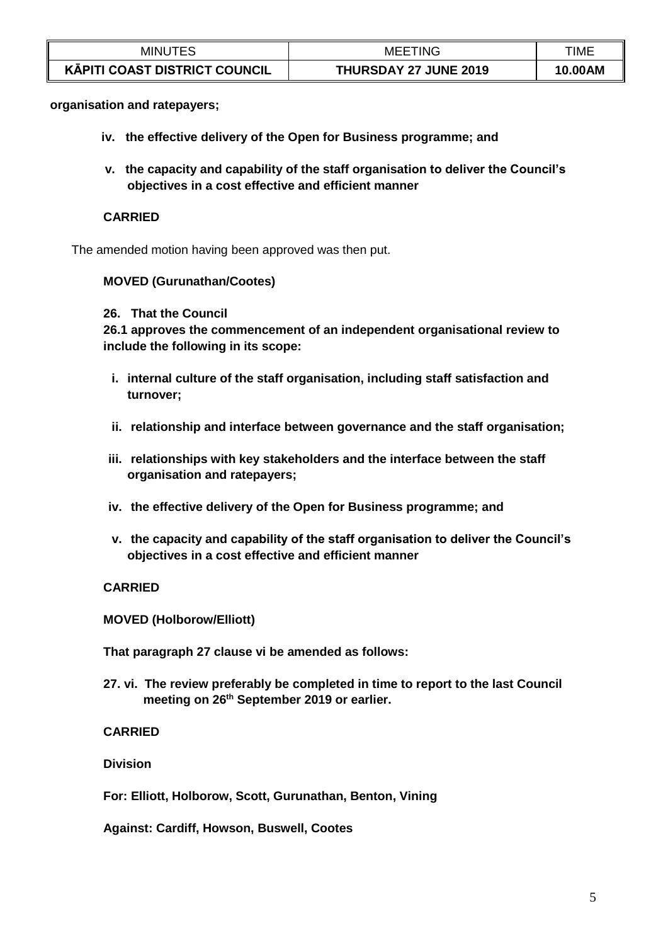| <b>MINUTES</b>                       | <b>MEETING</b>        | TIME    |
|--------------------------------------|-----------------------|---------|
| <b>KĀPITI COAST DISTRICT COUNCIL</b> | THURSDAY 27 JUNE 2019 | 10.00AM |

#### **organisation and ratepayers;**

- **iv. the effective delivery of the Open for Business programme; and**
- **v. the capacity and capability of the staff organisation to deliver the Council's objectives in a cost effective and efficient manner**

## **CARRIED**

The amended motion having been approved was then put.

#### **MOVED (Gurunathan/Cootes)**

#### **26. That the Council**

**26.1 approves the commencement of an independent organisational review to include the following in its scope:**

- **i. internal culture of the staff organisation, including staff satisfaction and turnover;**
- **ii. relationship and interface between governance and the staff organisation;**
- **iii. relationships with key stakeholders and the interface between the staff organisation and ratepayers;**
- **iv. the effective delivery of the Open for Business programme; and**
- **v. the capacity and capability of the staff organisation to deliver the Council's objectives in a cost effective and efficient manner**

### **CARRIED**

**MOVED (Holborow/Elliott)**

**That paragraph 27 clause vi be amended as follows:**

**27. vi. The review preferably be completed in time to report to the last Council meeting on 26th September 2019 or earlier.**

### **CARRIED**

**Division**

**For: Elliott, Holborow, Scott, Gurunathan, Benton, Vining**

**Against: Cardiff, Howson, Buswell, Cootes**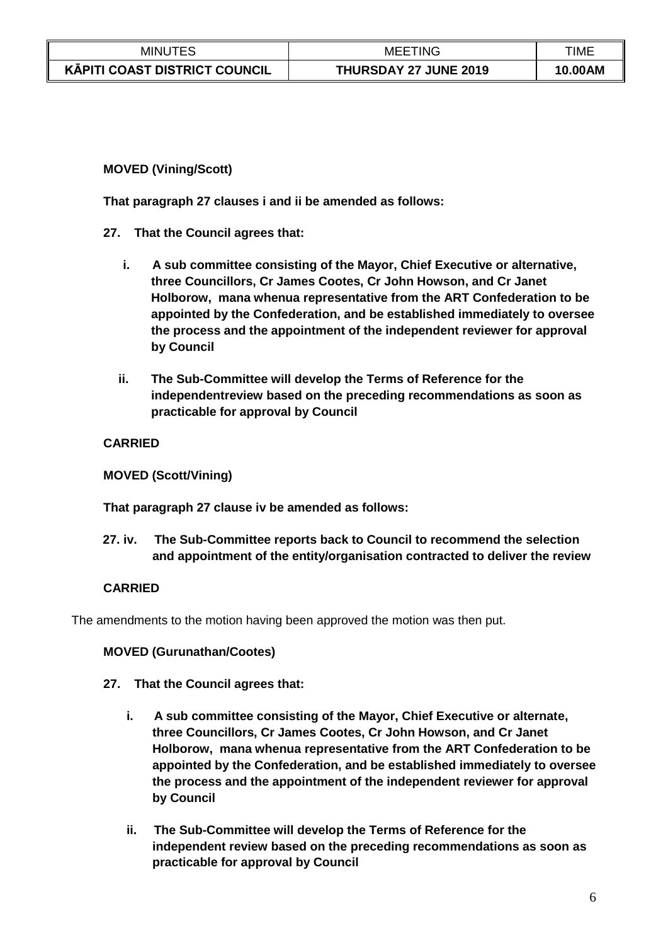| <b>MINUTES</b>                       | 'INC<br>MEE           | TIME    |
|--------------------------------------|-----------------------|---------|
| <b>KÄPITI COAST DISTRICT COUNCIL</b> | THURSDAY 27 JUNE 2019 | 10.00AM |

## **MOVED (Vining/Scott)**

**That paragraph 27 clauses i and ii be amended as follows:**

- **27. That the Council agrees that:**
	- **i. A sub committee consisting of the Mayor, Chief Executive or alternative, three Councillors, Cr James Cootes, Cr John Howson, and Cr Janet Holborow, mana whenua representative from the ART Confederation to be appointed by the Confederation, and be established immediately to oversee the process and the appointment of the independent reviewer for approval by Council**
	- **ii. The Sub-Committee will develop the Terms of Reference for the independentreview based on the preceding recommendations as soon as practicable for approval by Council**

## **CARRIED**

**MOVED (Scott/Vining)**

**That paragraph 27 clause iv be amended as follows:**

**27. iv. The Sub-Committee reports back to Council to recommend the selection and appointment of the entity/organisation contracted to deliver the review**

## **CARRIED**

The amendments to the motion having been approved the motion was then put.

# **MOVED (Gurunathan/Cootes)**

# **27. That the Council agrees that:**

- **i. A sub committee consisting of the Mayor, Chief Executive or alternate, three Councillors, Cr James Cootes, Cr John Howson, and Cr Janet Holborow, mana whenua representative from the ART Confederation to be appointed by the Confederation, and be established immediately to oversee the process and the appointment of the independent reviewer for approval by Council**
- **ii. The Sub-Committee will develop the Terms of Reference for the independent review based on the preceding recommendations as soon as practicable for approval by Council**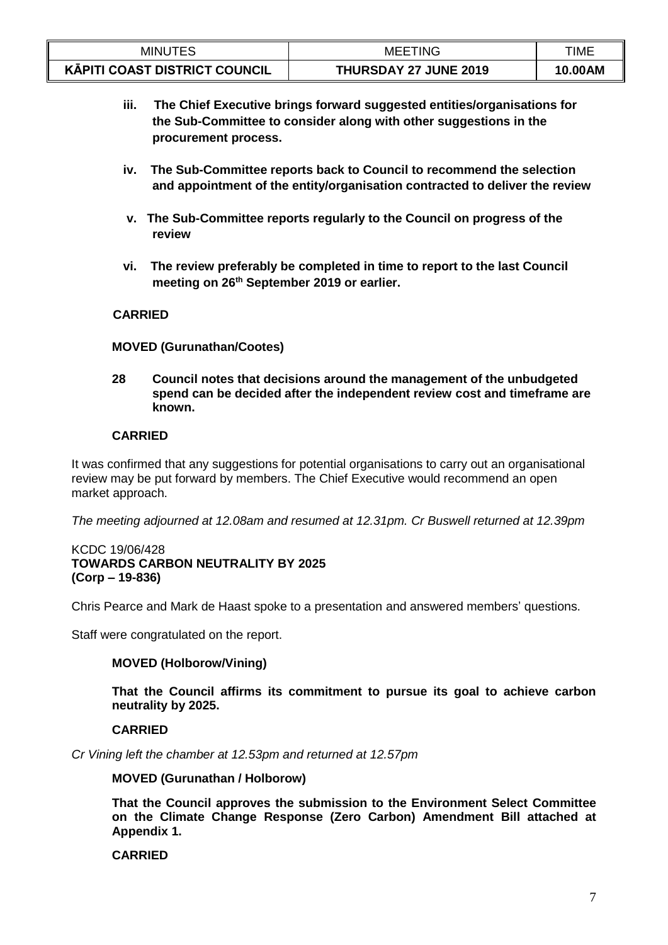| <b>MINUTES</b>                | <b>MEETING</b>               | TIME    |
|-------------------------------|------------------------------|---------|
| KĀPITI COAST DISTRICT COUNCIL | <b>THURSDAY 27 JUNE 2019</b> | 10.00AM |

- **iii. The Chief Executive brings forward suggested entities/organisations for the Sub-Committee to consider along with other suggestions in the procurement process.**
- **iv. The Sub-Committee reports back to Council to recommend the selection and appointment of the entity/organisation contracted to deliver the review**
- **v. The Sub-Committee reports regularly to the Council on progress of the review**
- **vi. The review preferably be completed in time to report to the last Council meeting on 26th September 2019 or earlier.**

## **CARRIED**

### **MOVED (Gurunathan/Cootes)**

**28 Council notes that decisions around the management of the unbudgeted spend can be decided after the independent review cost and timeframe are known.**

## **CARRIED**

It was confirmed that any suggestions for potential organisations to carry out an organisational review may be put forward by members. The Chief Executive would recommend an open market approach.

*The meeting adjourned at 12.08am and resumed at 12.31pm. Cr Buswell returned at 12.39pm*

#### KCDC 19/06/428 **TOWARDS CARBON NEUTRALITY BY 2025 (Corp – 19-836)**

Chris Pearce and Mark de Haast spoke to a presentation and answered members' questions.

Staff were congratulated on the report.

### **MOVED (Holborow/Vining)**

**That the Council affirms its commitment to pursue its goal to achieve carbon neutrality by 2025.**

### **CARRIED**

*Cr Vining left the chamber at 12.53pm and returned at 12.57pm*

**MOVED (Gurunathan / Holborow)**

**That the Council approves the submission to the Environment Select Committee on the Climate Change Response (Zero Carbon) Amendment Bill attached at Appendix 1.**

### **CARRIED**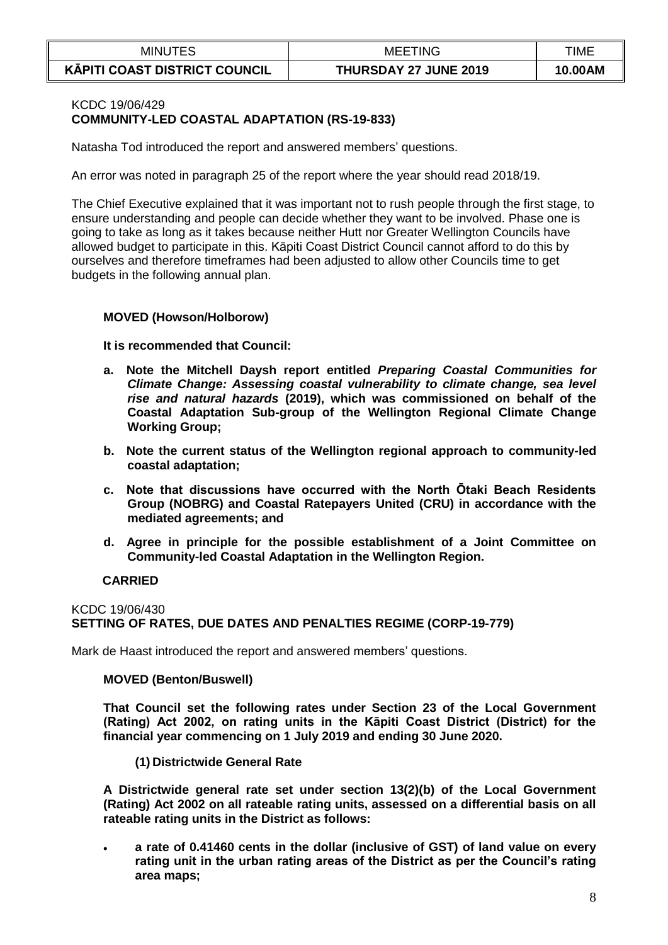| <b>MINUTES</b>                       | TING<br>MEEI          | TIME    |
|--------------------------------------|-----------------------|---------|
| <b>KĀPITI COAST DISTRICT COUNCIL</b> | THURSDAY 27 JUNE 2019 | 10.00AM |

## KCDC 19/06/429 **COMMUNITY-LED COASTAL ADAPTATION (RS-19-833)**

Natasha Tod introduced the report and answered members' questions.

An error was noted in paragraph 25 of the report where the year should read 2018/19.

The Chief Executive explained that it was important not to rush people through the first stage, to ensure understanding and people can decide whether they want to be involved. Phase one is going to take as long as it takes because neither Hutt nor Greater Wellington Councils have allowed budget to participate in this. Kāpiti Coast District Council cannot afford to do this by ourselves and therefore timeframes had been adjusted to allow other Councils time to get budgets in the following annual plan.

#### **MOVED (Howson/Holborow)**

**It is recommended that Council:**

- **a. Note the Mitchell Daysh report entitled** *Preparing Coastal Communities for Climate Change: Assessing coastal vulnerability to climate change, sea level rise and natural hazards* **(2019), which was commissioned on behalf of the Coastal Adaptation Sub-group of the Wellington Regional Climate Change Working Group;**
- **b. Note the current status of the Wellington regional approach to community-led coastal adaptation;**
- **c. Note that discussions have occurred with the North Ōtaki Beach Residents Group (NOBRG) and Coastal Ratepayers United (CRU) in accordance with the mediated agreements; and**
- **d. Agree in principle for the possible establishment of a Joint Committee on Community-led Coastal Adaptation in the Wellington Region.**

### **CARRIED**

## KCDC 19/06/430 **SETTING OF RATES, DUE DATES AND PENALTIES REGIME (CORP-19-779)**

Mark de Haast introduced the report and answered members' questions.

#### **MOVED (Benton/Buswell)**

**That Council set the following rates under Section 23 of the Local Government (Rating) Act 2002, on rating units in the Kāpiti Coast District (District) for the financial year commencing on 1 July 2019 and ending 30 June 2020.**

**(1) Districtwide General Rate**

**A Districtwide general rate set under section 13(2)(b) of the Local Government (Rating) Act 2002 on all rateable rating units, assessed on a differential basis on all rateable rating units in the District as follows:** 

 **a rate of 0.41460 cents in the dollar (inclusive of GST) of land value on every rating unit in the urban rating areas of the District as per the Council's rating area maps;**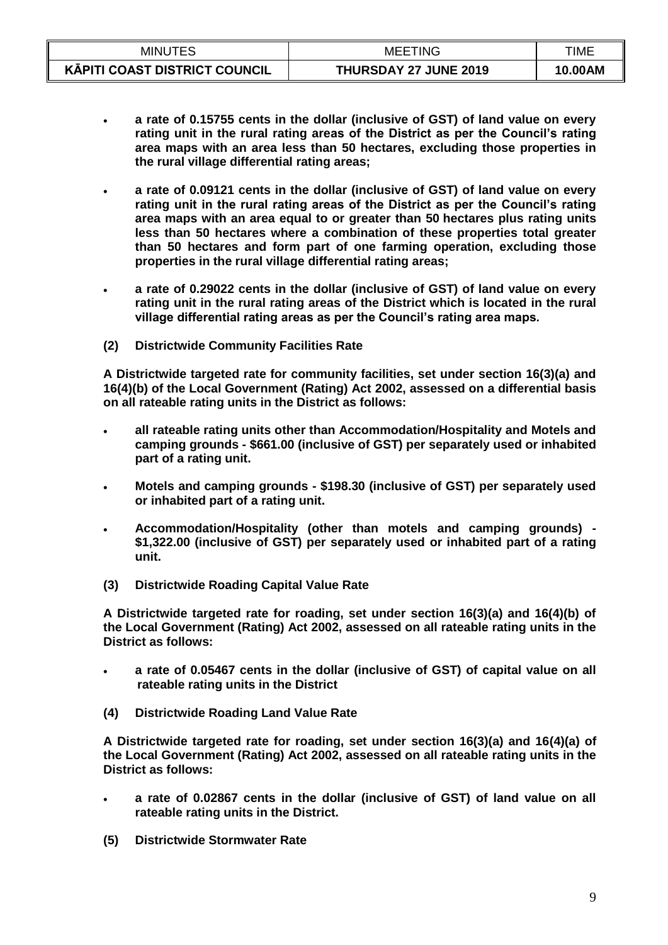| <b>MINUTES</b>                       | TING<br>MEE'          | TIME    |
|--------------------------------------|-----------------------|---------|
| <b>KAPITI COAST DISTRICT COUNCIL</b> | THURSDAY 27 JUNE 2019 | 10.00AM |

- **a rate of 0.15755 cents in the dollar (inclusive of GST) of land value on every rating unit in the rural rating areas of the District as per the Council's rating area maps with an area less than 50 hectares, excluding those properties in the rural village differential rating areas;**
- **a rate of 0.09121 cents in the dollar (inclusive of GST) of land value on every rating unit in the rural rating areas of the District as per the Council's rating area maps with an area equal to or greater than 50 hectares plus rating units less than 50 hectares where a combination of these properties total greater than 50 hectares and form part of one farming operation, excluding those properties in the rural village differential rating areas;**
- **a rate of 0.29022 cents in the dollar (inclusive of GST) of land value on every rating unit in the rural rating areas of the District which is located in the rural village differential rating areas as per the Council's rating area maps.**
- **(2) Districtwide Community Facilities Rate**

**A Districtwide targeted rate for community facilities, set under section 16(3)(a) and 16(4)(b) of the Local Government (Rating) Act 2002, assessed on a differential basis on all rateable rating units in the District as follows:**

- **all rateable rating units other than Accommodation/Hospitality and Motels and camping grounds - \$661.00 (inclusive of GST) per separately used or inhabited part of a rating unit.**
- **Motels and camping grounds - \$198.30 (inclusive of GST) per separately used or inhabited part of a rating unit.**
- **Accommodation/Hospitality (other than motels and camping grounds) - \$1,322.00 (inclusive of GST) per separately used or inhabited part of a rating unit.**
- **(3) Districtwide Roading Capital Value Rate**

**A Districtwide targeted rate for roading, set under section 16(3)(a) and 16(4)(b) of the Local Government (Rating) Act 2002, assessed on all rateable rating units in the District as follows:**

- **a rate of 0.05467 cents in the dollar (inclusive of GST) of capital value on all rateable rating units in the District**
- **(4) Districtwide Roading Land Value Rate**

**A Districtwide targeted rate for roading, set under section 16(3)(a) and 16(4)(a) of the Local Government (Rating) Act 2002, assessed on all rateable rating units in the District as follows:**

- **a rate of 0.02867 cents in the dollar (inclusive of GST) of land value on all rateable rating units in the District.**
- **(5) Districtwide Stormwater Rate**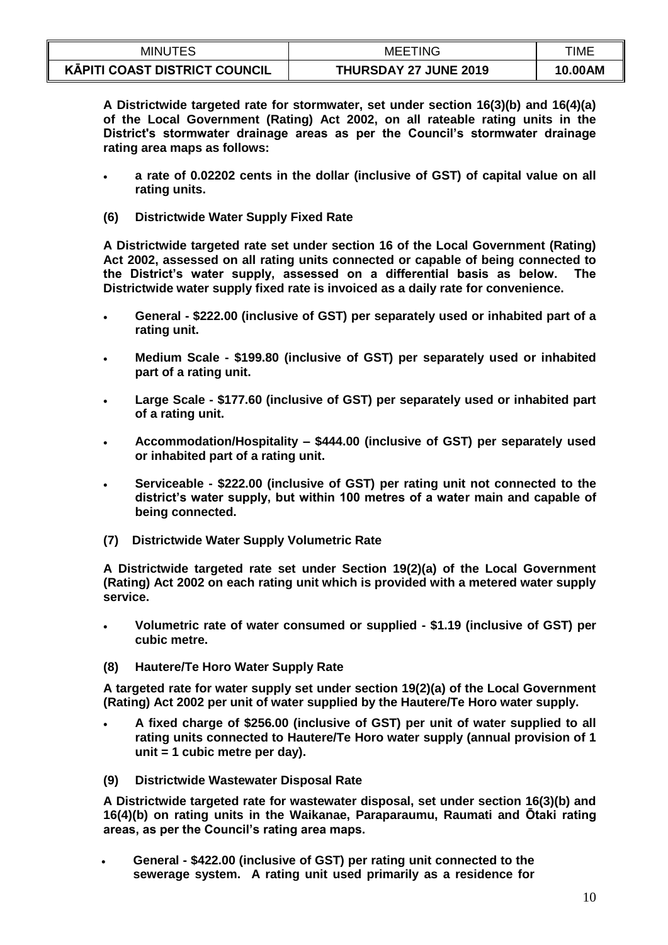| <b>MINUTES</b>                       | <b>MEETING</b>               | TIME    |
|--------------------------------------|------------------------------|---------|
| <b>KÄPITI COAST DISTRICT COUNCIL</b> | <b>THURSDAY 27 JUNE 2019</b> | 10.00AM |

**A Districtwide targeted rate for stormwater, set under section 16(3)(b) and 16(4)(a) of the Local Government (Rating) Act 2002, on all rateable rating units in the District's stormwater drainage areas as per the Council's stormwater drainage rating area maps as follows:**

- **a rate of 0.02202 cents in the dollar (inclusive of GST) of capital value on all rating units.**
- **(6) Districtwide Water Supply Fixed Rate**

**A Districtwide targeted rate set under section 16 of the Local Government (Rating) Act 2002, assessed on all rating units connected or capable of being connected to the District's water supply, assessed on a differential basis as below. The Districtwide water supply fixed rate is invoiced as a daily rate for convenience.** 

- **General - \$222.00 (inclusive of GST) per separately used or inhabited part of a rating unit.**
- **Medium Scale - \$199.80 (inclusive of GST) per separately used or inhabited part of a rating unit.**
- **Large Scale - \$177.60 (inclusive of GST) per separately used or inhabited part of a rating unit.**
- **Accommodation/Hospitality – \$444.00 (inclusive of GST) per separately used or inhabited part of a rating unit.**
- **Serviceable - \$222.00 (inclusive of GST) per rating unit not connected to the district's water supply, but within 100 metres of a water main and capable of being connected.**
- **(7) Districtwide Water Supply Volumetric Rate**

**A Districtwide targeted rate set under Section 19(2)(a) of the Local Government (Rating) Act 2002 on each rating unit which is provided with a metered water supply service.** 

- **Volumetric rate of water consumed or supplied - \$1.19 (inclusive of GST) per cubic metre.**
- **(8) Hautere/Te Horo Water Supply Rate**

**A targeted rate for water supply set under section 19(2)(a) of the Local Government (Rating) Act 2002 per unit of water supplied by the Hautere/Te Horo water supply.**

- **A fixed charge of \$256.00 (inclusive of GST) per unit of water supplied to all rating units connected to Hautere/Te Horo water supply (annual provision of 1 unit = 1 cubic metre per day).**
- **(9) Districtwide Wastewater Disposal Rate**

**A Districtwide targeted rate for wastewater disposal, set under section 16(3)(b) and 16(4)(b) on rating units in the Waikanae, Paraparaumu, Raumati and Ōtaki rating areas, as per the Council's rating area maps.**

 **General - \$422.00 (inclusive of GST) per rating unit connected to the sewerage system. A rating unit used primarily as a residence for**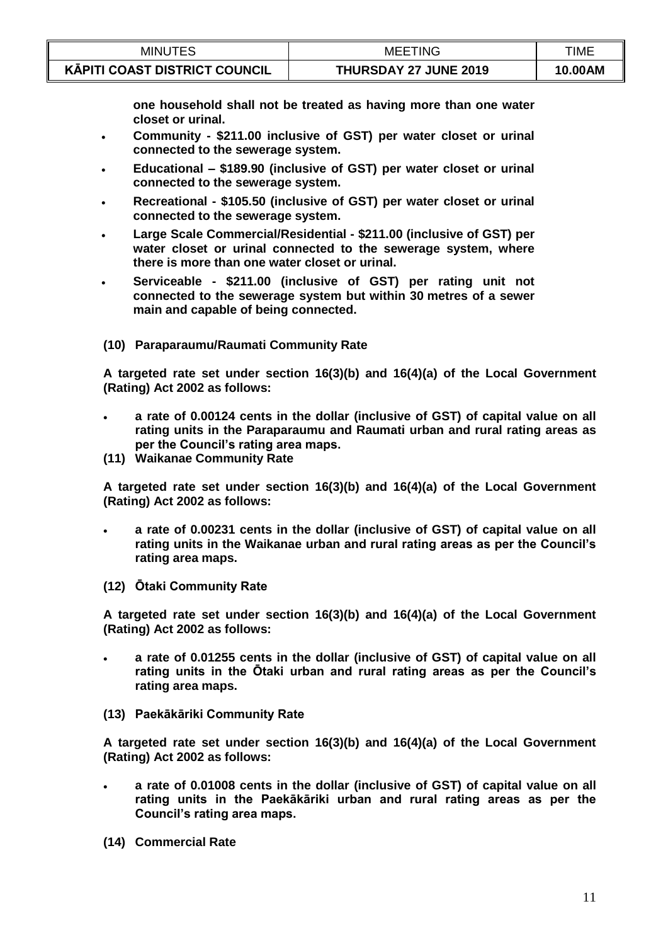| <b>MINUTES</b>                       | <b>MEETING</b>        | TIME    |
|--------------------------------------|-----------------------|---------|
| <b>KAPITI COAST DISTRICT COUNCIL</b> | THURSDAY 27 JUNE 2019 | 10.00AM |

**one household shall not be treated as having more than one water closet or urinal.**

- **Community - \$211.00 inclusive of GST) per water closet or urinal connected to the sewerage system.**
- **Educational – \$189.90 (inclusive of GST) per water closet or urinal connected to the sewerage system.**
- **Recreational - \$105.50 (inclusive of GST) per water closet or urinal connected to the sewerage system.**
- **Large Scale Commercial/Residential - \$211.00 (inclusive of GST) per water closet or urinal connected to the sewerage system, where there is more than one water closet or urinal.**
- **Serviceable - \$211.00 (inclusive of GST) per rating unit not connected to the sewerage system but within 30 metres of a sewer main and capable of being connected.**
- **(10) Paraparaumu/Raumati Community Rate**

**A targeted rate set under section 16(3)(b) and 16(4)(a) of the Local Government (Rating) Act 2002 as follows:**

- **a rate of 0.00124 cents in the dollar (inclusive of GST) of capital value on all rating units in the Paraparaumu and Raumati urban and rural rating areas as per the Council's rating area maps.**
- **(11) Waikanae Community Rate**

**A targeted rate set under section 16(3)(b) and 16(4)(a) of the Local Government (Rating) Act 2002 as follows:**

- **a rate of 0.00231 cents in the dollar (inclusive of GST) of capital value on all rating units in the Waikanae urban and rural rating areas as per the Council's rating area maps.**
- **(12) Ōtaki Community Rate**

**A targeted rate set under section 16(3)(b) and 16(4)(a) of the Local Government (Rating) Act 2002 as follows:**

- **a rate of 0.01255 cents in the dollar (inclusive of GST) of capital value on all rating units in the Ōtaki urban and rural rating areas as per the Council's rating area maps.**
- **(13) Paekākāriki Community Rate**

**A targeted rate set under section 16(3)(b) and 16(4)(a) of the Local Government (Rating) Act 2002 as follows:**

- **a rate of 0.01008 cents in the dollar (inclusive of GST) of capital value on all rating units in the Paekākāriki urban and rural rating areas as per the Council's rating area maps.**
- **(14) Commercial Rate**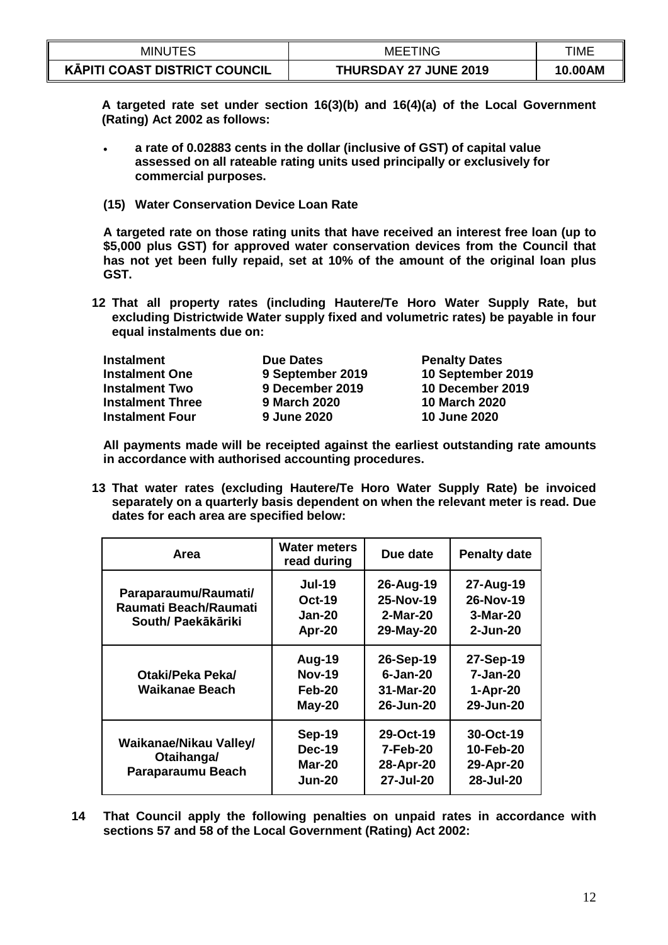| <b>MINUTES</b>                       | <b>MEETING</b>        | TIME    |
|--------------------------------------|-----------------------|---------|
| <b>KÄPITI COAST DISTRICT COUNCIL</b> | THURSDAY 27 JUNE 2019 | 10.00AM |

**A targeted rate set under section 16(3)(b) and 16(4)(a) of the Local Government (Rating) Act 2002 as follows:**

- **a rate of 0.02883 cents in the dollar (inclusive of GST) of capital value assessed on all rateable rating units used principally or exclusively for commercial purposes.**
- **(15) Water Conservation Device Loan Rate**

**A targeted rate on those rating units that have received an interest free loan (up to \$5,000 plus GST) for approved water conservation devices from the Council that has not yet been fully repaid, set at 10% of the amount of the original loan plus GST.**

**12 That all property rates (including Hautere/Te Horo Water Supply Rate, but excluding Districtwide Water supply fixed and volumetric rates) be payable in four equal instalments due on:**

| <b>Instalment</b>       | <b>Due Dates</b>    | <b>Penalty Dates</b> |
|-------------------------|---------------------|----------------------|
| <b>Instalment One</b>   | 9 September 2019    | 10 September 2019    |
| <b>Instalment Two</b>   | 9 December 2019     | 10 December 2019     |
| <b>Instalment Three</b> | <b>9 March 2020</b> | <b>10 March 2020</b> |
| <b>Instalment Four</b>  | 9 June 2020         | 10 June 2020         |

**All payments made will be receipted against the earliest outstanding rate amounts in accordance with authorised accounting procedures.**

**13 That water rates (excluding Hautere/Te Horo Water Supply Rate) be invoiced separately on a quarterly basis dependent on when the relevant meter is read. Due dates for each area are specified below:**

| Area                                                                | <b>Water meters</b><br>read during                        | Due date                                               | <b>Penalty date</b>                                |
|---------------------------------------------------------------------|-----------------------------------------------------------|--------------------------------------------------------|----------------------------------------------------|
| Paraparaumu/Raumati/<br>Raumati Beach/Raumati<br>South/ Paekākāriki | <b>Jul-19</b><br><b>Oct-19</b><br><b>Jan-20</b><br>Apr-20 | 26-Aug-19<br>25-Nov-19<br>2-Mar-20<br>29-May-20        | 27-Aug-19<br>26-Nov-19<br>3-Mar-20<br>$2 - Jun-20$ |
| Otaki/Peka Peka/<br>Waikanae Beach                                  | Aug-19<br><b>Nov-19</b><br>Feb-20<br>$May-20$             | 26-Sep-19<br>$6 - Jan-20$<br>31-Mar-20<br>26-Jun-20    | 27-Sep-19<br>7-Jan-20<br>1-Apr-20<br>29-Jun-20     |
| Waikanae/Nikau Valley/<br>Otaihanga/<br>Paraparaumu Beach           | Sep-19<br><b>Dec-19</b><br><b>Mar-20</b><br><b>Jun-20</b> | 29-Oct-19<br><b>7-Feb-20</b><br>28-Apr-20<br>27-Jul-20 | 30-Oct-19<br>10-Feb-20<br>29-Apr-20<br>28-Jul-20   |

**14 That Council apply the following penalties on unpaid rates in accordance with sections 57 and 58 of the Local Government (Rating) Act 2002:**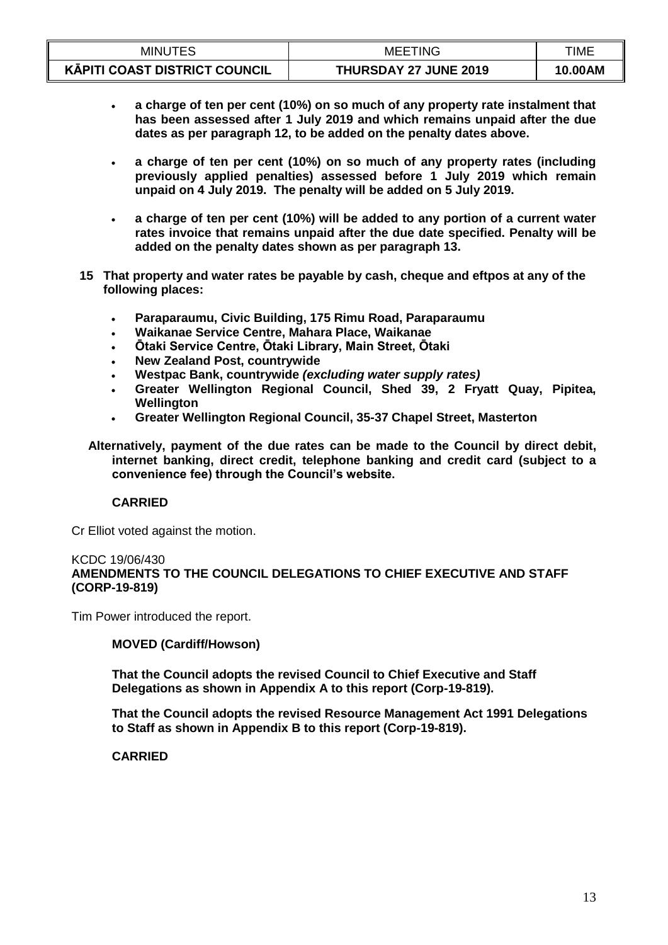| <b>MINUTES</b>                       | <b>MEETING</b>               | TIME    |
|--------------------------------------|------------------------------|---------|
| <b>KĀPITI COAST DISTRICT COUNCIL</b> | <b>THURSDAY 27 JUNE 2019</b> | 10.00AM |

- **a charge of ten per cent (10%) on so much of any property rate instalment that has been assessed after 1 July 2019 and which remains unpaid after the due dates as per paragraph 12, to be added on the penalty dates above.**
- **a charge of ten per cent (10%) on so much of any property rates (including previously applied penalties) assessed before 1 July 2019 which remain unpaid on 4 July 2019. The penalty will be added on 5 July 2019.**
- **a charge of ten per cent (10%) will be added to any portion of a current water rates invoice that remains unpaid after the due date specified. Penalty will be added on the penalty dates shown as per paragraph 13.**
- **15 That property and water rates be payable by cash, cheque and eftpos at any of the following places:**
	- **Paraparaumu, Civic Building, 175 Rimu Road, Paraparaumu**
	- **Waikanae Service Centre, Mahara Place, Waikanae**
	- **Ōtaki Service Centre, Ōtaki Library, Main Street, Ōtaki**
	- **New Zealand Post, countrywide**
	- **Westpac Bank, countrywide** *(excluding water supply rates)*
	- **Greater Wellington Regional Council, Shed 39, 2 Fryatt Quay, Pipitea, Wellington**
	- **Greater Wellington Regional Council, 35-37 Chapel Street, Masterton**
	- **Alternatively, payment of the due rates can be made to the Council by direct debit, internet banking, direct credit, telephone banking and credit card (subject to a convenience fee) through the Council's website.**

#### **CARRIED**

Cr Elliot voted against the motion.

#### KCDC 19/06/430 **AMENDMENTS TO THE COUNCIL DELEGATIONS TO CHIEF EXECUTIVE AND STAFF (CORP-19-819)**

Tim Power introduced the report.

### **MOVED (Cardiff/Howson)**

**That the Council adopts the revised Council to Chief Executive and Staff Delegations as shown in Appendix A to this report (Corp-19-819).** 

**That the Council adopts the revised Resource Management Act 1991 Delegations to Staff as shown in Appendix B to this report (Corp-19-819).** 

 **CARRIED**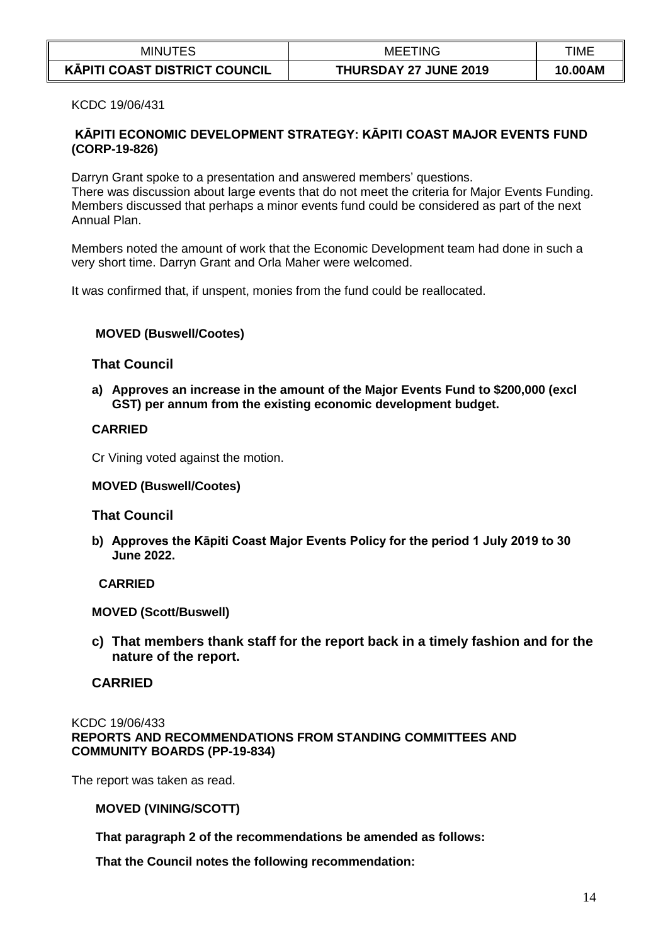| <b>MINUTES</b>                       | <b>MEETING</b>               | TIME    |
|--------------------------------------|------------------------------|---------|
| <b>KAPITI COAST DISTRICT COUNCIL</b> | <b>THURSDAY 27 JUNE 2019</b> | 10.00AM |

KCDC 19/06/431

## **KĀPITI ECONOMIC DEVELOPMENT STRATEGY: KĀPITI COAST MAJOR EVENTS FUND (CORP-19-826)**

Darryn Grant spoke to a presentation and answered members' questions. There was discussion about large events that do not meet the criteria for Major Events Funding. Members discussed that perhaps a minor events fund could be considered as part of the next Annual Plan.

Members noted the amount of work that the Economic Development team had done in such a very short time. Darryn Grant and Orla Maher were welcomed.

It was confirmed that, if unspent, monies from the fund could be reallocated.

### **MOVED (Buswell/Cootes)**

## **That Council**

**a) Approves an increase in the amount of the Major Events Fund to \$200,000 (excl GST) per annum from the existing economic development budget.** 

### **CARRIED**

Cr Vining voted against the motion.

#### **MOVED (Buswell/Cootes)**

#### **That Council**

**b) Approves the Kāpiti Coast Major Events Policy for the period 1 July 2019 to 30 June 2022.** 

### **CARRIED**

**MOVED (Scott/Buswell)**

**c) That members thank staff for the report back in a timely fashion and for the nature of the report.**

## **CARRIED**

#### KCDC 19/06/433 **REPORTS AND RECOMMENDATIONS FROM STANDING COMMITTEES AND COMMUNITY BOARDS (PP-19-834)**

The report was taken as read.

### **MOVED (VINING/SCOTT)**

**That paragraph 2 of the recommendations be amended as follows:**

**That the Council notes the following recommendation:**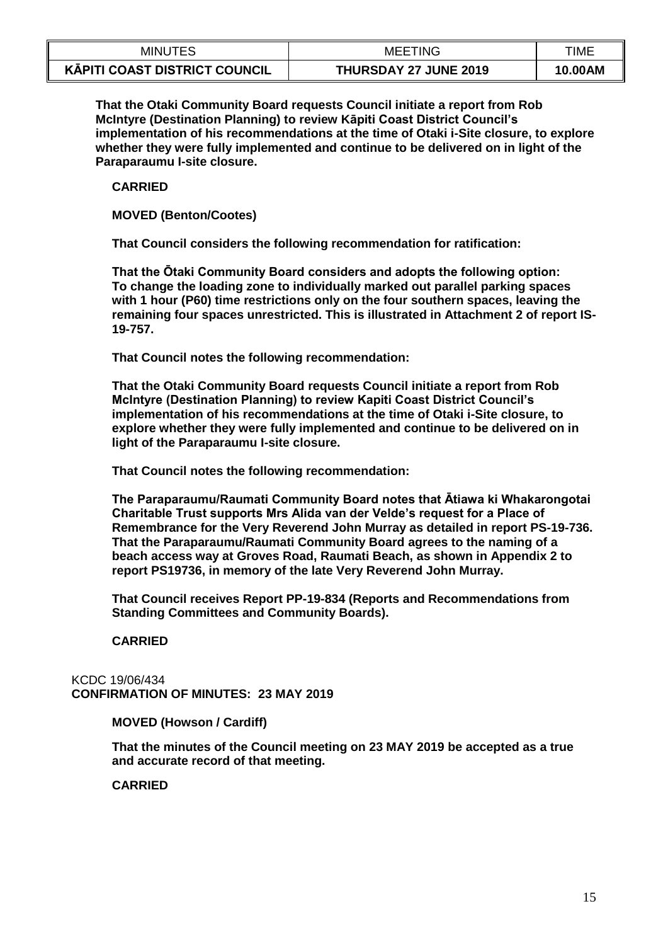| <b>MINUTES</b>                | <b>MEETING</b>               | TIME    |
|-------------------------------|------------------------------|---------|
| KĀPITI COAST DISTRICT COUNCIL | <b>THURSDAY 27 JUNE 2019</b> | 10.00AM |

**That the Otaki Community Board requests Council initiate a report from Rob McIntyre (Destination Planning) to review Kāpiti Coast District Council's implementation of his recommendations at the time of Otaki i-Site closure, to explore whether they were fully implemented and continue to be delivered on in light of the Paraparaumu I-site closure.** 

**CARRIED**

**MOVED (Benton/Cootes)**

**That Council considers the following recommendation for ratification:** 

**That the Ōtaki Community Board considers and adopts the following option: To change the loading zone to individually marked out parallel parking spaces with 1 hour (P60) time restrictions only on the four southern spaces, leaving the remaining four spaces unrestricted. This is illustrated in Attachment 2 of report IS-19-757.** 

**That Council notes the following recommendation:**

**That the Otaki Community Board requests Council initiate a report from Rob McIntyre (Destination Planning) to review Kapiti Coast District Council's implementation of his recommendations at the time of Otaki i-Site closure, to explore whether they were fully implemented and continue to be delivered on in light of the Paraparaumu I-site closure.** 

**That Council notes the following recommendation:** 

**The Paraparaumu/Raumati Community Board notes that Ātiawa ki Whakarongotai Charitable Trust supports Mrs Alida van der Velde's request for a Place of Remembrance for the Very Reverend John Murray as detailed in report PS-19-736. That the Paraparaumu/Raumati Community Board agrees to the naming of a beach access way at Groves Road, Raumati Beach, as shown in Appendix 2 to report PS19736, in memory of the late Very Reverend John Murray.**

**That Council receives Report PP-19-834 (Reports and Recommendations from Standing Committees and Community Boards).**

**CARRIED**

KCDC 19/06/434 **CONFIRMATION OF MINUTES: 23 MAY 2019**

### **MOVED (Howson / Cardiff)**

**That the minutes of the Council meeting on 23 MAY 2019 be accepted as a true and accurate record of that meeting.**

**CARRIED**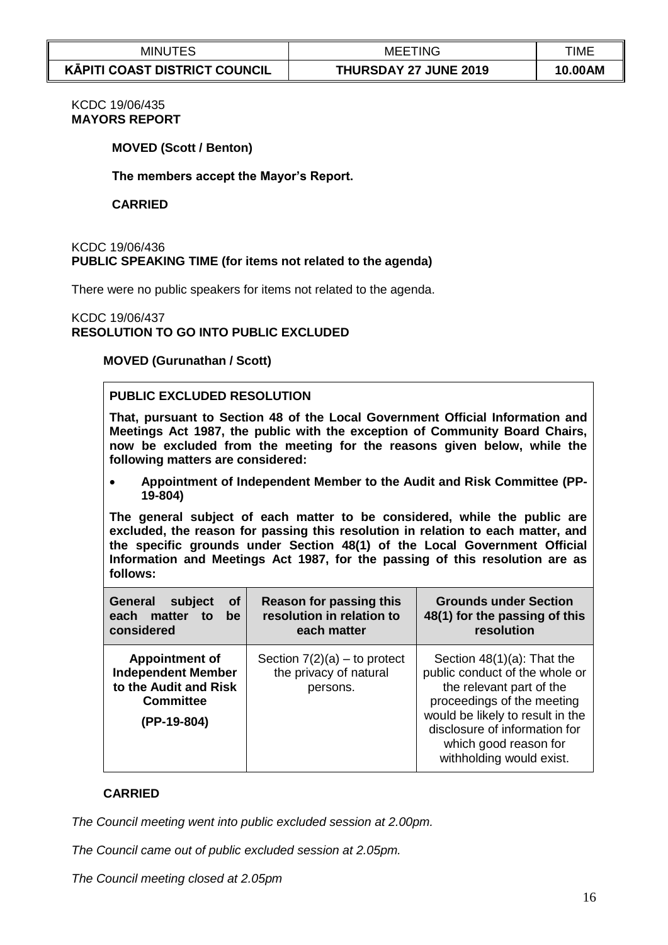| <b>MINUTES</b>                       | TING<br>MEE           | TIME    |
|--------------------------------------|-----------------------|---------|
| <b>KÄPITI COAST DISTRICT COUNCIL</b> | THURSDAY 27 JUNE 2019 | 10.00AM |

## KCDC 19/06/435 **MAYORS REPORT**

#### **MOVED (Scott / Benton)**

**The members accept the Mayor's Report.**

#### **CARRIED**

#### KCDC 19/06/436 **PUBLIC SPEAKING TIME (for items not related to the agenda)**

There were no public speakers for items not related to the agenda.

#### KCDC 19/06/437 **RESOLUTION TO GO INTO PUBLIC EXCLUDED**

#### **MOVED (Gurunathan / Scott)**

### **PUBLIC EXCLUDED RESOLUTION**

**That, pursuant to Section 48 of the Local Government Official Information and Meetings Act 1987, the public with the exception of Community Board Chairs, now be excluded from the meeting for the reasons given below, while the following matters are considered:**

 **Appointment of Independent Member to the Audit and Risk Committee (PP-19-804)**

**The general subject of each matter to be considered, while the public are excluded, the reason for passing this resolution in relation to each matter, and the specific grounds under Section 48(1) of the Local Government Official Information and Meetings Act 1987, for the passing of this resolution are as follows:**

| <b>General</b><br>subject<br><b>of</b><br>matter<br>each<br>be<br>to<br>considered                             | <b>Reason for passing this</b><br>resolution in relation to<br>each matter | <b>Grounds under Section</b><br>48(1) for the passing of this<br>resolution                                                                                                                                                                         |
|----------------------------------------------------------------------------------------------------------------|----------------------------------------------------------------------------|-----------------------------------------------------------------------------------------------------------------------------------------------------------------------------------------------------------------------------------------------------|
| <b>Appointment of</b><br><b>Independent Member</b><br>to the Audit and Risk<br><b>Committee</b><br>(PP-19-804) | Section $7(2)(a)$ – to protect<br>the privacy of natural<br>persons.       | Section $48(1)(a)$ : That the<br>public conduct of the whole or<br>the relevant part of the<br>proceedings of the meeting<br>would be likely to result in the<br>disclosure of information for<br>which good reason for<br>withholding would exist. |

### **CARRIED**

*The Council meeting went into public excluded session at 2.00pm.*

*The Council came out of public excluded session at 2.05pm.*

*The Council meeting closed at 2.05pm*